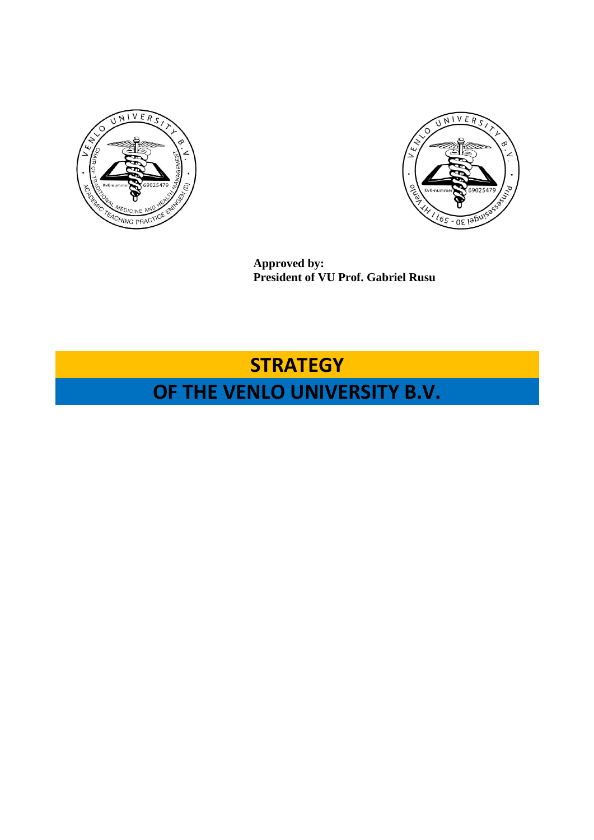



**Approved by: President of VU Prof. Gabriel Rusu**

# **STRATEGY**

# **OF THE VENLO UNIVERSITY B.V.**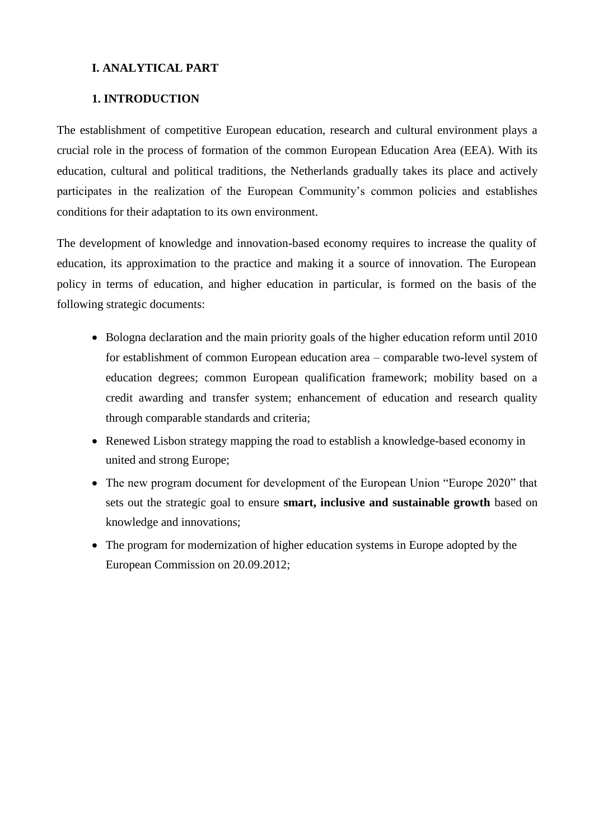## **I. ANALYTICAL PART**

## **1. INTRODUCTION**

The establishment of competitive European education, research and cultural environment plays a crucial role in the process of formation of the common European Education Area (EEA). With its education, cultural and political traditions, the Netherlands gradually takes its place and actively participates in the realization of the European Community's common policies and establishes conditions for their adaptation to its own environment.

The development of knowledge and innovation-based economy requires to increase the quality of education, its approximation to the practice and making it a source of innovation. The European policy in terms of education, and higher education in particular, is formed on the basis of the following strategic documents:

- Bologna declaration and the main priority goals of the higher education reform until 2010 for establishment of common European education area – comparable two-level system of education degrees; common European qualification framework; mobility based on a credit awarding and transfer system; enhancement of education and research quality through comparable standards and criteria;
- Renewed Lisbon strategy mapping the road to establish a knowledge-based economy in united and strong Europe;
- The new program document for development of the European Union "Europe 2020" that sets out the strategic goal to ensure **smart, inclusive and sustainable growth** based on knowledge and innovations;
- The program for modernization of higher education systems in Europe adopted by the European Commission on 20.09.2012;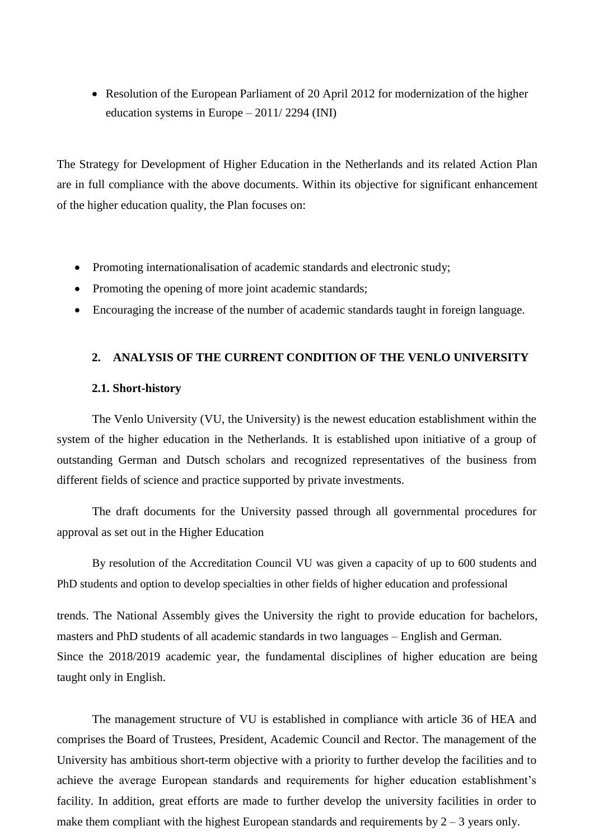• Resolution of the European Parliament of 20 April 2012 for modernization of the higher education systems in Europe – 2011/ 2294 (INI)

The Strategy for Development of Higher Education in the Netherlands and its related Action Plan are in full compliance with the above documents. Within its objective for significant enhancement of the higher education quality, the Plan focuses on:

- Promoting internationalisation of academic standards and electronic study;
- Promoting the opening of more joint academic standards;
- Encouraging the increase of the number of academic standards taught in foreign language.

## **2. ANALYSIS OF THE CURRENT CONDITION OF THE VENLO UNIVERSITY**

#### **2.1. Short-history**

The Venlo University (VU, the University) is the newest education establishment within the system of the higher education in the Netherlands. It is established upon initiative of a group of outstanding German and Dutsch scholars and recognized representatives of the business from different fields of science and practice supported by private investments.

The draft documents for the University passed through all governmental procedures for approval as set out in the Higher Education

By resolution of the Accreditation Council VU was given a capacity of up to 600 students and PhD students and option to develop specialties in other fields of higher education and professional

trends. The National Assembly gives the University the right to provide education for bachelors, masters and PhD students of all academic standards in two languages – English and German. Since the 2018/2019 academic year, the fundamental disciplines of higher education are being taught only in English.

The management structure of VU is established in compliance with article 36 of HEA and comprises the Board of Trustees, President, Academic Council and Rector. The management of the University has ambitious short-term objective with a priority to further develop the facilities and to achieve the average European standards and requirements for higher education establishment's facility. In addition, great efforts are made to further develop the university facilities in order to make them compliant with the highest European standards and requirements by  $2 - 3$  years only.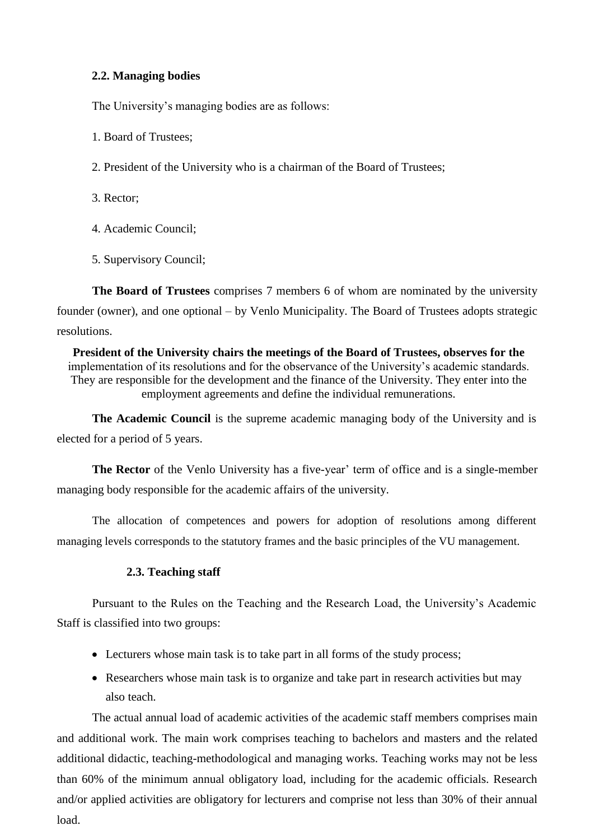## **2.2. Managing bodies**

The University's managing bodies are as follows:

- 1. Board of Trustees;
- 2. President of the University who is a chairman of the Board of Trustees;
- 3. Rector;
- 4. Academic Council;
- 5. Supervisory Council;

**The Board of Trustees** comprises 7 members 6 of whom are nominated by the university founder (owner), and one optional – by Venlo Municipality. The Board of Trustees adopts strategic resolutions.

**President of the University chairs the meetings of the Board of Trustees, observes for the** implementation of its resolutions and for the observance of the University's academic standards. They are responsible for the development and the finance of the University. They enter into the employment agreements and define the individual remunerations.

**The Academic Council** is the supreme academic managing body of the University and is elected for a period of 5 years.

**The Rector** of the Venlo University has a five-year' term of office and is a single-member managing body responsible for the academic affairs of the university.

The allocation of competences and powers for adoption of resolutions among different managing levels corresponds to the statutory frames and the basic principles of the VU management.

## **2.3. Teaching staff**

Pursuant to the Rules on the Teaching and the Research Load, the University's Academic Staff is classified into two groups:

- Lecturers whose main task is to take part in all forms of the study process;
- Researchers whose main task is to organize and take part in research activities but may also teach.

The actual annual load of academic activities of the academic staff members comprises main and additional work. The main work comprises teaching to bachelors and masters and the related additional didactic, teaching-methodological and managing works. Teaching works may not be less than 60% of the minimum annual obligatory load, including for the academic officials. Research and/or applied activities are obligatory for lecturers and comprise not less than 30% of their annual load.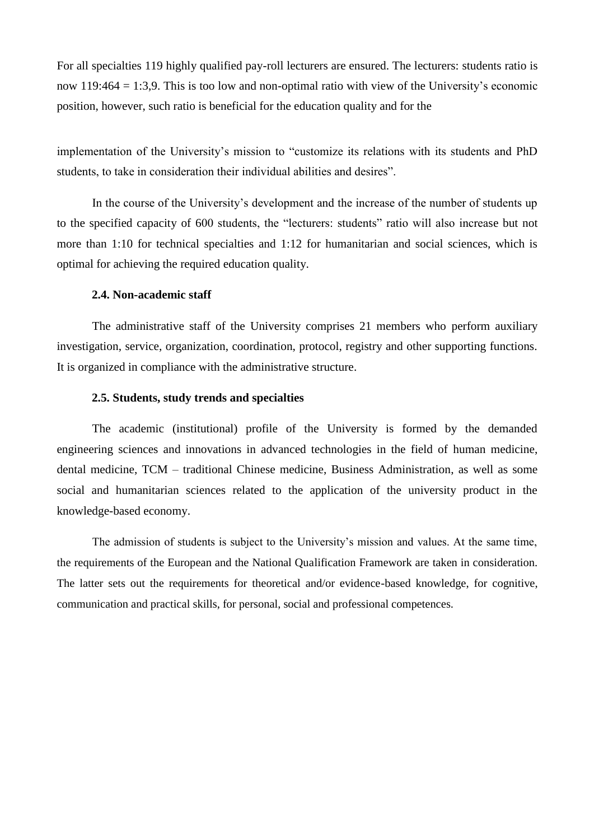For all specialties 119 highly qualified pay-roll lecturers are ensured. The lecturers: students ratio is now 119:464 = 1:3,9. This is too low and non-optimal ratio with view of the University's economic position, however, such ratio is beneficial for the education quality and for the

implementation of the University's mission to "customize its relations with its students and PhD students, to take in consideration their individual abilities and desires".

In the course of the University's development and the increase of the number of students up to the specified capacity of 600 students, the "lecturers: students" ratio will also increase but not more than 1:10 for technical specialties and 1:12 for humanitarian and social sciences, which is optimal for achieving the required education quality.

#### **2.4. Non-academic staff**

The administrative staff of the University comprises 21 members who perform auxiliary investigation, service, organization, coordination, protocol, registry and other supporting functions. It is organized in compliance with the administrative structure.

#### **2.5. Students, study trends and specialties**

The academic (institutional) profile of the University is formed by the demanded engineering sciences and innovations in advanced technologies in the field of human medicine, dental medicine, TCM – traditional Chinese medicine, Business Administration, as well as some social and humanitarian sciences related to the application of the university product in the knowledge-based economy.

The admission of students is subject to the University's mission and values. At the same time, the requirements of the European and the National Qualification Framework are taken in consideration. The latter sets out the requirements for theoretical and/or evidence-based knowledge, for cognitive, communication and practical skills, for personal, social and professional competences.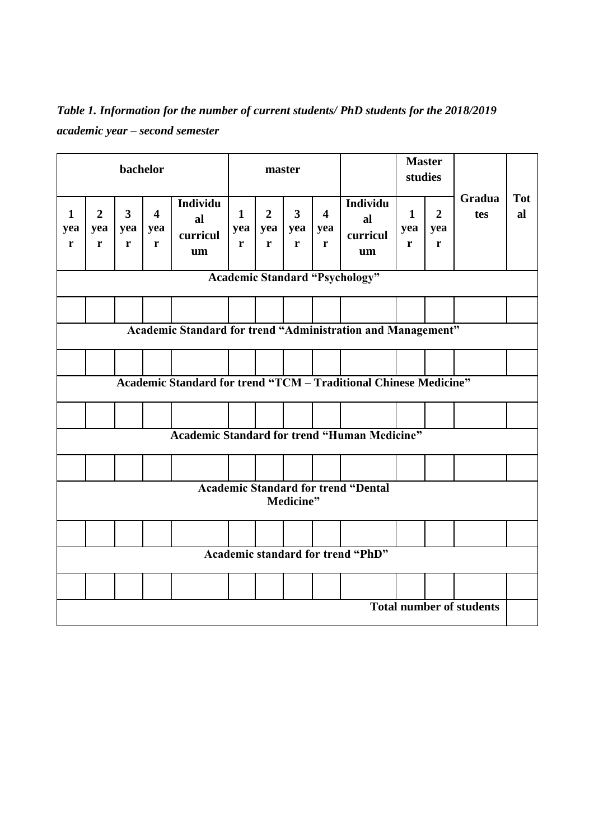*Table 1. Information for the number of current students/ PhD students for the 2018/2019 academic year – second semester*

| bachelor                 |                                 |                                     |                                               |                                                                         | master                   |                              |                                                |                                                | <b>Master</b><br>studies                                                  |                          |                                      |               |                  |
|--------------------------|---------------------------------|-------------------------------------|-----------------------------------------------|-------------------------------------------------------------------------|--------------------------|------------------------------|------------------------------------------------|------------------------------------------------|---------------------------------------------------------------------------|--------------------------|--------------------------------------|---------------|------------------|
| $\mathbf{1}$<br>yea<br>r | $\overline{2}$<br>yea<br>r      | $\overline{\mathbf{3}}$<br>yea<br>r | $\overline{\mathbf{4}}$<br>yea<br>$\mathbf r$ | <b>Individu</b><br>al<br>curricul<br>um                                 | $\mathbf{1}$<br>yea<br>r | $\overline{2}$<br>yea  <br>r | $\overline{\mathbf{3}}$<br>yea<br>$\mathbf{r}$ | $\overline{\mathbf{4}}$<br>yea<br>$\mathbf{r}$ | Individu<br>al<br>curricul<br>um<br><b>Academic Standard "Psychology"</b> | $\mathbf{1}$<br>yea<br>r | $\overline{2}$<br>yea<br>$\mathbf r$ | Gradua<br>tes | <b>Tot</b><br>al |
|                          |                                 |                                     |                                               |                                                                         |                          |                              |                                                |                                                |                                                                           |                          |                                      |               |                  |
|                          |                                 |                                     |                                               | Academic Standard for trend "Administration and Management"             |                          |                              |                                                |                                                |                                                                           |                          |                                      |               |                  |
|                          |                                 |                                     |                                               |                                                                         |                          |                              |                                                |                                                |                                                                           |                          |                                      |               |                  |
|                          |                                 |                                     |                                               |                                                                         |                          |                              |                                                |                                                |                                                                           |                          |                                      |               |                  |
|                          |                                 |                                     |                                               | <b>Academic Standard for trend "TCM - Traditional Chinese Medicine"</b> |                          |                              |                                                |                                                |                                                                           |                          |                                      |               |                  |
|                          |                                 |                                     |                                               |                                                                         |                          |                              |                                                |                                                |                                                                           |                          |                                      |               |                  |
|                          |                                 |                                     |                                               | <b>Academic Standard for trend "Human Medicine"</b>                     |                          |                              |                                                |                                                |                                                                           |                          |                                      |               |                  |
|                          |                                 |                                     |                                               |                                                                         |                          |                              |                                                |                                                |                                                                           |                          |                                      |               |                  |
|                          |                                 |                                     |                                               |                                                                         |                          |                              |                                                |                                                | <b>Academic Standard for trend "Dental</b>                                |                          |                                      |               |                  |
|                          |                                 |                                     |                                               |                                                                         |                          |                              | Medicine"                                      |                                                |                                                                           |                          |                                      |               |                  |
|                          |                                 |                                     |                                               |                                                                         |                          |                              |                                                |                                                |                                                                           |                          |                                      |               |                  |
|                          |                                 |                                     |                                               |                                                                         |                          |                              |                                                |                                                | <b>Academic standard for trend "PhD"</b>                                  |                          |                                      |               |                  |
|                          |                                 |                                     |                                               |                                                                         |                          |                              |                                                |                                                |                                                                           |                          |                                      |               |                  |
|                          | <b>Total number of students</b> |                                     |                                               |                                                                         |                          |                              |                                                |                                                |                                                                           |                          |                                      |               |                  |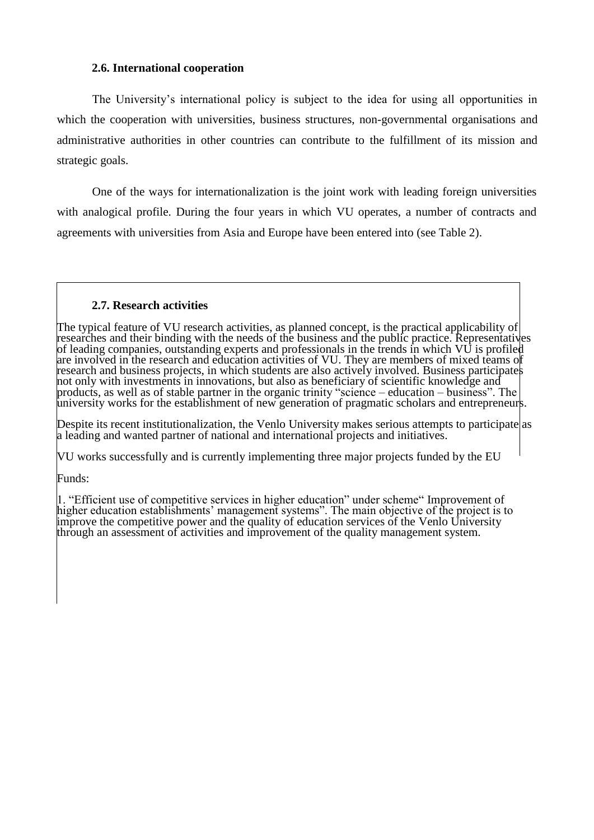#### **2.6. International cooperation**

The University's international policy is subject to the idea for using all opportunities in which the cooperation with universities, business structures, non-governmental organisations and administrative authorities in other countries can contribute to the fulfillment of its mission and strategic goals.

One of the ways for internationalization is the joint work with leading foreign universities with analogical profile. During the four years in which VU operates, a number of contracts and agreements with universities from Asia and Europe have been entered into (see Table 2).

#### **2.7. Research activities**

The typical feature of VU research activities, as planned concept, is the practical applicability of researches and their binding with the needs of the business and the public practice. Representatives of leading companies, outstanding experts and professionals in the trends in which VU is profiled are involved in the research and education activities of VU. They are members of mixed teams of research and business projects, in which students are also actively involved. Business participates not only with investments in innovations, but also as beneficiary of scientific knowledge and products, as well as of stable partner in the organic trinity "science – education – business". The university works for the establishment of new generation of pragmatic scholars and entrepreneurs.

Despite its recent institutionalization, the Venlo University makes serious attempts to participate as a leading and wanted partner of national and international projects and initiatives.

VU works successfully and is currently implementing three major projects funded by the EU

Funds:

1. "Efficient use of competitive services in higher education" under scheme" Improvement of higher education establishments' management systems". The main objective of the project is to improve the competitive power and the quality of education services of the Venlo University through an assessment of activities and improvement of the quality management system.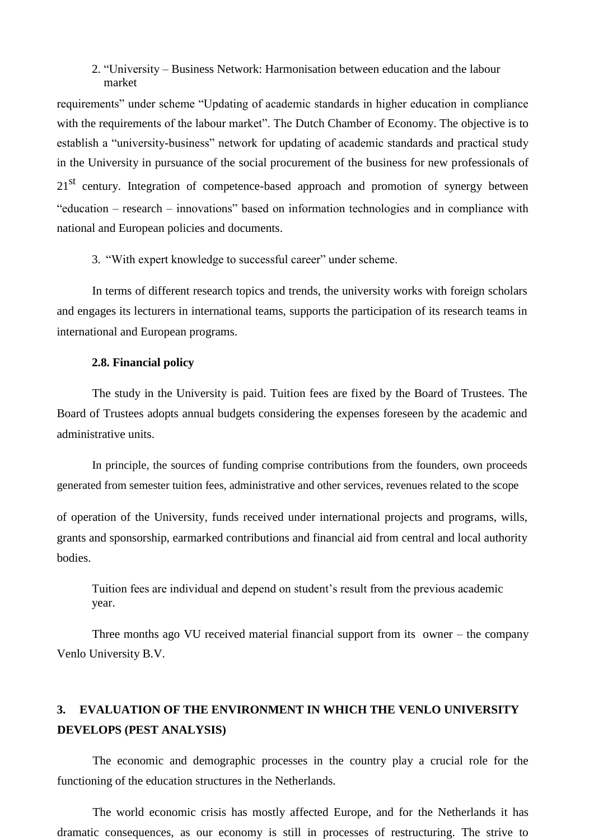## 2. "University – Business Network: Harmonisation between education and the labour market

requirements" under scheme "Updating of academic standards in higher education in compliance with the requirements of the labour market". The Dutch Chamber of Economy. The objective is to establish a "university-business" network for updating of academic standards and practical study in the University in pursuance of the social procurement of the business for new professionals of 21<sup>st</sup> century. Integration of competence-based approach and promotion of synergy between "education – research – innovations" based on information technologies and in compliance with national and European policies and documents.

3. "With expert knowledge to successful career" under scheme.

In terms of different research topics and trends, the university works with foreign scholars and engages its lecturers in international teams, supports the participation of its research teams in international and European programs.

#### **2.8. Financial policy**

The study in the University is paid. Tuition fees are fixed by the Board of Trustees. The Board of Trustees adopts annual budgets considering the expenses foreseen by the academic and administrative units.

In principle, the sources of funding comprise contributions from the founders, own proceeds generated from semester tuition fees, administrative and other services, revenues related to the scope

of operation of the University, funds received under international projects and programs, wills, grants and sponsorship, earmarked contributions and financial aid from central and local authority bodies.

Tuition fees are individual and depend on student's result from the previous academic year.

Three months ago VU received material financial support from its owner – the company Venlo University B.V.

## **3. EVALUATION OF THE ENVIRONMENT IN WHICH THE VENLO UNIVERSITY DEVELOPS (PEST ANALYSIS)**

The economic and demographic processes in the country play a crucial role for the functioning of the education structures in the Netherlands.

The world economic crisis has mostly affected Europe, and for the Netherlands it has dramatic consequences, as our economy is still in processes of restructuring. The strive to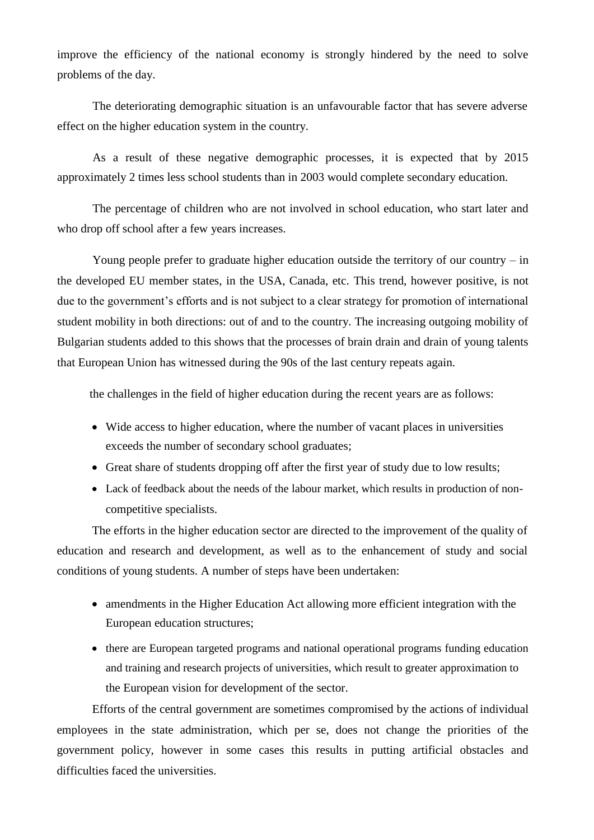improve the efficiency of the national economy is strongly hindered by the need to solve problems of the day.

The deteriorating demographic situation is an unfavourable factor that has severe adverse effect on the higher education system in the country.

As a result of these negative demographic processes, it is expected that by 2015 approximately 2 times less school students than in 2003 would complete secondary education.

The percentage of children who are not involved in school education, who start later and who drop off school after a few years increases.

Young people prefer to graduate higher education outside the territory of our country – in the developed EU member states, in the USA, Canada, etc. This trend, however positive, is not due to the government's efforts and is not subject to a clear strategy for promotion of international student mobility in both directions: out of and to the country. The increasing outgoing mobility of Bulgarian students added to this shows that the processes of brain drain and drain of young talents that European Union has witnessed during the 90s of the last century repeats again.

the challenges in the field of higher education during the recent years are as follows:

- Wide access to higher education, where the number of vacant places in universities exceeds the number of secondary school graduates;
- Great share of students dropping off after the first year of study due to low results;
- Lack of feedback about the needs of the labour market, which results in production of noncompetitive specialists.

The efforts in the higher education sector are directed to the improvement of the quality of education and research and development, as well as to the enhancement of study and social conditions of young students. A number of steps have been undertaken:

- amendments in the Higher Education Act allowing more efficient integration with the European education structures;
- there are European targeted programs and national operational programs funding education and training and research projects of universities, which result to greater approximation to the European vision for development of the sector.

Efforts of the central government are sometimes compromised by the actions of individual employees in the state administration, which per se, does not change the priorities of the government policy, however in some cases this results in putting artificial obstacles and difficulties faced the universities.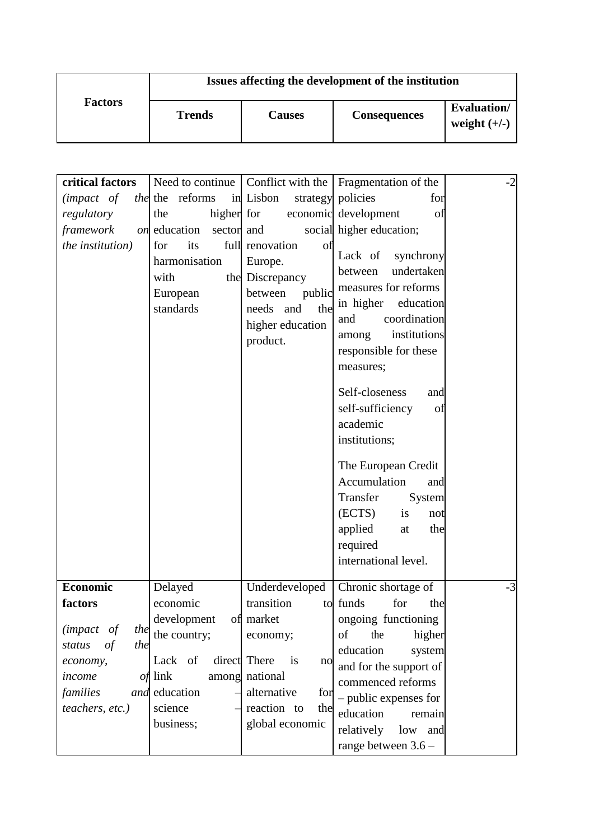|                | Issues affecting the development of the institution |               |                     |                                       |  |  |
|----------------|-----------------------------------------------------|---------------|---------------------|---------------------------------------|--|--|
| <b>Factors</b> | <b>Trends</b>                                       | <b>Causes</b> | <b>Consequences</b> | <b>Evaluation</b> /<br>weight $(+/-)$ |  |  |

| critical factors<br>$(impact$ of<br>regulatory<br>framework<br>the institution)                                          | the the reforms<br>the<br><i>on</i> education<br>sector and<br>for<br>its<br>harmonisation<br>with<br>European<br>standards | in Lisbon<br>higher for<br>full renovation<br>οf<br>Europe.<br>the Discrepancy<br>between<br>public<br>needs and<br>the<br>higher education<br>product. | Need to continue   Conflict with the   Fragmentation of the<br>strategy policies<br>for<br>economic development<br>of<br>social higher education;<br>Lack of<br>synchrony<br>undertaken<br>between<br>measures for reforms<br>in higher education<br>coordination<br>and<br>institutions<br>among<br>responsible for these<br>measures;<br>Self-closeness<br>and<br>self-sufficiency<br>of<br>academic<br>institutions;<br>The European Credit<br>Accumulation<br>and | $-2$ |
|--------------------------------------------------------------------------------------------------------------------------|-----------------------------------------------------------------------------------------------------------------------------|---------------------------------------------------------------------------------------------------------------------------------------------------------|-----------------------------------------------------------------------------------------------------------------------------------------------------------------------------------------------------------------------------------------------------------------------------------------------------------------------------------------------------------------------------------------------------------------------------------------------------------------------|------|
| <b>Economic</b>                                                                                                          | Delayed                                                                                                                     | Underdeveloped                                                                                                                                          | required<br>international level.<br>Chronic shortage of                                                                                                                                                                                                                                                                                                                                                                                                               | $-3$ |
| factors<br>( <i>impact of</i><br>the<br>the<br>$\sigma f$<br>status<br>economy,<br>income<br>families<br>teachers, etc.) | economic<br>development of market<br>the country;<br>Lack of<br><i>of</i> link<br>and education<br>science<br>business;     | transition<br>to<br>economy;<br>direct There<br>is<br>no<br>among national<br>alternative<br>for<br>reaction to<br>the<br>global economic               | funds<br>for<br>the<br>ongoing functioning<br>higher<br>the<br>of<br>education<br>system<br>and for the support of<br>commenced reforms<br>- public expenses for<br>education<br>remain<br>relatively<br>low and<br>range between 3.6 -                                                                                                                                                                                                                               |      |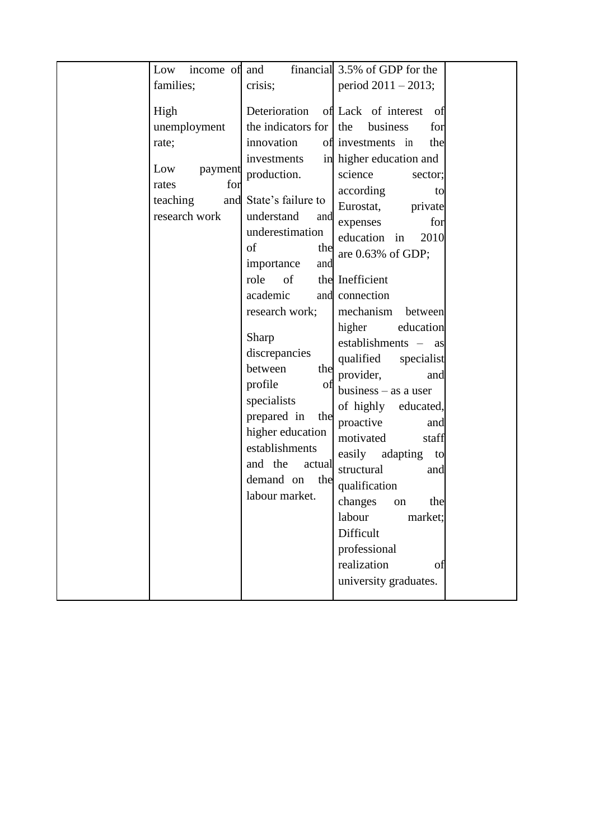| Low<br>income of and                                                                         |                                                                                                                                                                                                                                                                                                                                                                                                                                           | financial 3.5% of GDP for the                                                                                                                                                                                                                                                                                                                                                                                                                                                                                                                                                                                                                                                                  |  |
|----------------------------------------------------------------------------------------------|-------------------------------------------------------------------------------------------------------------------------------------------------------------------------------------------------------------------------------------------------------------------------------------------------------------------------------------------------------------------------------------------------------------------------------------------|------------------------------------------------------------------------------------------------------------------------------------------------------------------------------------------------------------------------------------------------------------------------------------------------------------------------------------------------------------------------------------------------------------------------------------------------------------------------------------------------------------------------------------------------------------------------------------------------------------------------------------------------------------------------------------------------|--|
| families;                                                                                    | crisis;                                                                                                                                                                                                                                                                                                                                                                                                                                   | period $2011 - 2013$ ;                                                                                                                                                                                                                                                                                                                                                                                                                                                                                                                                                                                                                                                                         |  |
| High<br>unemployment<br>rate;<br>Low<br>payment<br>for<br>rates<br>teaching<br>research work | Deterioration<br>the indicators for<br>innovation<br>investments<br>production.<br>and State's failure to<br>understand<br>and<br>underestimation<br>of<br>the<br>importance<br>and<br>role<br>of<br>academic<br>and<br>research work;<br>Sharp<br>discrepancies<br>between<br>the<br>profile<br>ΟÌ<br>specialists<br>prepared in<br>the<br>higher education<br>establishments<br>and the<br>actual<br>demand on<br>the<br>labour market. | of Lack of interest<br>- of<br>business<br>the<br>for<br>of investments in<br>the<br>in higher education and<br>science<br>sector;<br>according<br>to<br>Eurostat,<br>private<br>expenses<br>for<br>education in<br>2010<br>are $0.63\%$ of GDP;<br>the Inefficient<br>connection<br>mechanism<br>between<br>higher<br>education<br>establishments - as<br>qualified<br>specialist<br>provider,<br>and<br>business $-$ as a user<br>of highly<br>educated,<br>proactive<br>and<br>motivated<br>staff<br>easily<br>adapting<br>to<br>structural<br>and<br>qualification<br>changes<br>the<br>on<br>market;<br>labour<br>Difficult<br>professional<br>realization<br>οf<br>university graduates. |  |
|                                                                                              |                                                                                                                                                                                                                                                                                                                                                                                                                                           |                                                                                                                                                                                                                                                                                                                                                                                                                                                                                                                                                                                                                                                                                                |  |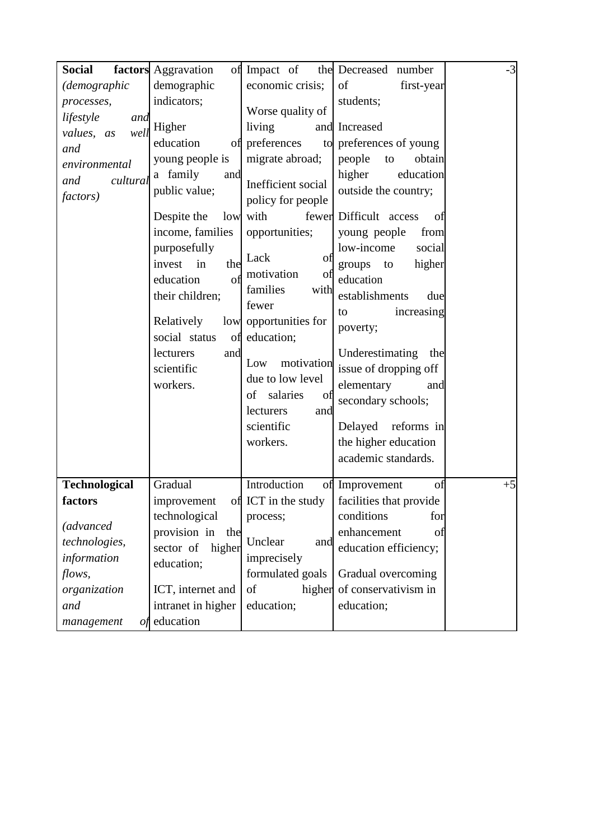| <b>Social</b><br>(demographic<br>processes,<br>lifestyle<br>and<br>values, as<br>well<br>and<br>environmental<br>cultural<br>and<br><i>factors</i> ) | factors Aggravation<br>demographic<br>indicators;<br>Higher<br>education<br>of<br>young people is<br>a family<br>and<br>public value;<br>Despite the<br>low<br>income, families<br>purposefully<br>invest<br>in<br>the<br>education<br>of<br>their children;<br>Relatively<br>social status<br>of<br>lecturers<br>and<br>scientific<br>workers. | of Impact of<br>economic crisis;<br>Worse quality of<br>living<br>preferences<br>migrate abroad;<br>Inefficient social<br>policy for people<br>with<br>opportunities;<br>Lack<br>of<br>motivation<br>οt<br>families<br>with<br>fewer<br>low opportunities for<br>education;<br>motivation<br>Low<br>due to low level<br>salaries<br>of<br>of<br>lecturers<br>and<br>scientific<br>workers. | the Decreased number<br>of<br>first-year<br>students;<br>and Increased<br>to preferences of young<br>people<br>obtain<br>to<br>higher<br>education<br>outside the country;<br>fewer Difficult access<br>of<br>young people<br>from<br>low-income<br>social<br>groups<br>higher<br>to<br>education<br>establishments<br>due<br>increasing<br>to<br>poverty;<br>Underestimating<br>the<br>issue of dropping off<br>elementary<br>and<br>secondary schools;<br>Delayed<br>reforms in<br>the higher education | $-3$ |
|------------------------------------------------------------------------------------------------------------------------------------------------------|-------------------------------------------------------------------------------------------------------------------------------------------------------------------------------------------------------------------------------------------------------------------------------------------------------------------------------------------------|--------------------------------------------------------------------------------------------------------------------------------------------------------------------------------------------------------------------------------------------------------------------------------------------------------------------------------------------------------------------------------------------|-----------------------------------------------------------------------------------------------------------------------------------------------------------------------------------------------------------------------------------------------------------------------------------------------------------------------------------------------------------------------------------------------------------------------------------------------------------------------------------------------------------|------|
| <b>Technological</b><br>factors                                                                                                                      | Gradual<br>improvement                                                                                                                                                                                                                                                                                                                          | Introduction                                                                                                                                                                                                                                                                                                                                                                               | academic standards.<br>of Improvement<br>of<br>of ICT in the study $\vert$ facilities that provide                                                                                                                                                                                                                                                                                                                                                                                                        | $+5$ |
| <i>(advanced)</i><br>technologies,<br>information<br>flows,<br>organization<br>and<br>management<br>οf                                               | technological<br>provision in<br>the<br>sector of<br>higher<br>education;<br>ICT, internet and<br>intranet in higher<br>education                                                                                                                                                                                                               | process;<br>Unclear<br>and<br>imprecisely<br>formulated goals<br>of<br>education;                                                                                                                                                                                                                                                                                                          | conditions<br>for<br>enhancement<br>of<br>education efficiency;<br>Gradual overcoming<br>higher of conservativism in<br>education;                                                                                                                                                                                                                                                                                                                                                                        |      |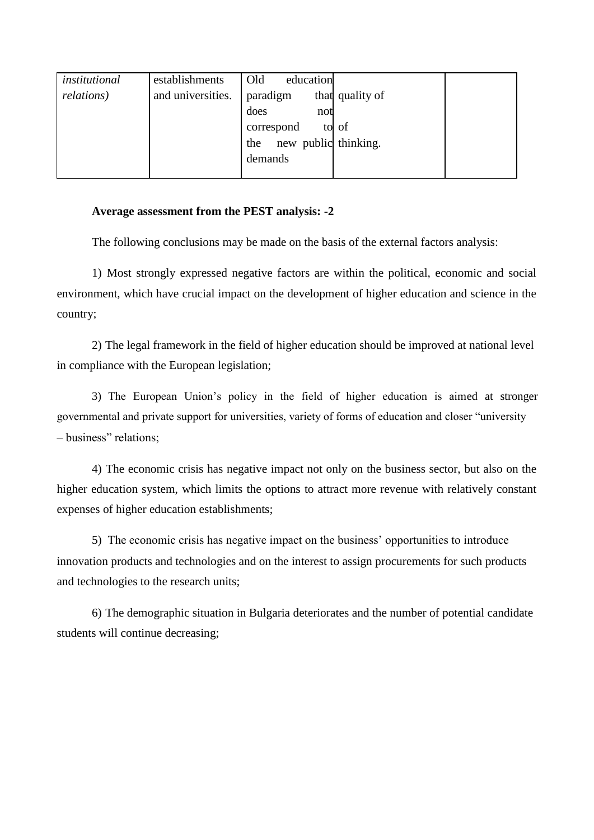| institutional      | establishments    | Old<br>education            |  |
|--------------------|-------------------|-----------------------------|--|
| <i>relations</i> ) | and universities. | paradigm<br>that quality of |  |
|                    |                   | does<br>not                 |  |
|                    |                   | correspond<br>to of         |  |
|                    |                   | new public thinking.<br>the |  |
|                    |                   | demands                     |  |
|                    |                   |                             |  |

## **Average assessment from the PEST analysis: -2**

The following conclusions may be made on the basis of the external factors analysis:

1) Most strongly expressed negative factors are within the political, economic and social environment, which have crucial impact on the development of higher education and science in the country;

2) The legal framework in the field of higher education should be improved at national level in compliance with the European legislation;

3) The European Union's policy in the field of higher education is aimed at stronger governmental and private support for universities, variety of forms of education and closer "university – business" relations;

4) The economic crisis has negative impact not only on the business sector, but also on the higher education system, which limits the options to attract more revenue with relatively constant expenses of higher education establishments;

5) The economic crisis has negative impact on the business' opportunities to introduce innovation products and technologies and on the interest to assign procurements for such products and technologies to the research units;

6) The demographic situation in Bulgaria deteriorates and the number of potential candidate students will continue decreasing;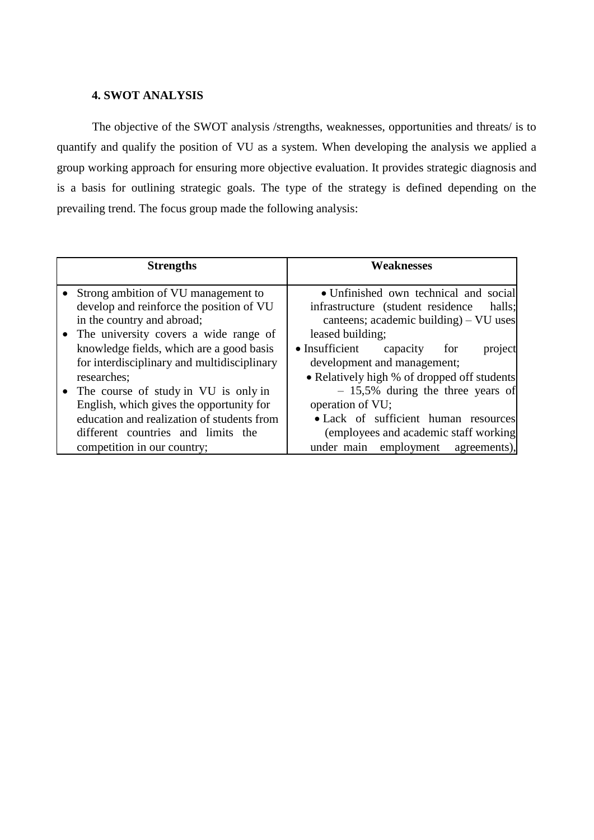## **4. SWOT ANALYSIS**

The objective of the SWOT analysis /strengths, weaknesses, opportunities and threats/ is to quantify and qualify the position of VU as a system. When developing the analysis we applied a group working approach for ensuring more objective evaluation. It provides strategic diagnosis and is a basis for outlining strategic goals. The type of the strategy is defined depending on the prevailing trend. The focus group made the following analysis:

| <b>Strengths</b>                                                                  | <b>Weaknesses</b>                                                                     |
|-----------------------------------------------------------------------------------|---------------------------------------------------------------------------------------|
| • Strong ambition of VU management to<br>develop and reinforce the position of VU | • Unfinished own technical and social<br>infrastructure (student residence)<br>halls; |
| in the country and abroad;                                                        | canteens; academic building) $-$ VU uses                                              |
| • The university covers a wide range of                                           | leased building;                                                                      |
| knowledge fields, which are a good basis                                          | $\bullet$ Insufficient<br>capacity<br>project<br>for                                  |
| for interdisciplinary and multidisciplinary                                       | development and management;                                                           |
| researches;                                                                       | • Relatively high % of dropped off students                                           |
| • The course of study in VU is only in                                            | $-15,5\%$ during the three years of                                                   |
| English, which gives the opportunity for                                          | operation of VU;                                                                      |
| education and realization of students from                                        | • Lack of sufficient human resources                                                  |
| different countries and limits the                                                | (employees and academic staff working)                                                |
| competition in our country;                                                       | under main employment agreements),                                                    |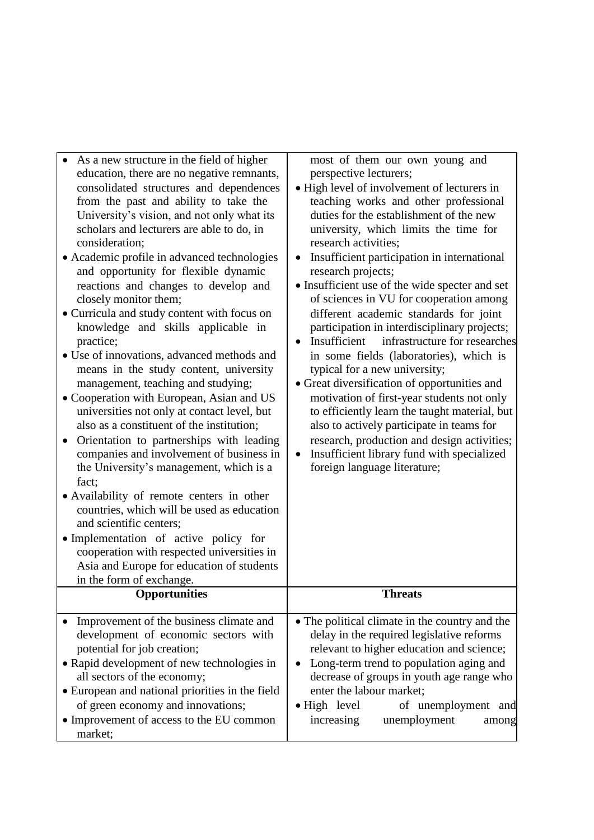| As a new structure in the field of higher<br>education, there are no negative remnants,<br>consolidated structures and dependences<br>from the past and ability to take the<br>University's vision, and not only what its<br>scholars and lecturers are able to do, in<br>consideration;<br>• Academic profile in advanced technologies<br>and opportunity for flexible dynamic<br>reactions and changes to develop and<br>closely monitor them;<br>• Curricula and study content with focus on<br>knowledge and skills applicable in<br>practice;<br>• Use of innovations, advanced methods and<br>means in the study content, university<br>management, teaching and studying;<br>• Cooperation with European, Asian and US<br>universities not only at contact level, but<br>also as a constituent of the institution;<br>Orientation to partnerships with leading<br>$\bullet$<br>companies and involvement of business in<br>the University's management, which is a<br>fact; | most of them our own young and<br>perspective lecturers;<br>• High level of involvement of lecturers in<br>teaching works and other professional<br>duties for the establishment of the new<br>university, which limits the time for<br>research activities;<br>Insufficient participation in international<br>$\bullet$<br>research projects;<br>• Insufficient use of the wide specter and set<br>of sciences in VU for cooperation among<br>different academic standards for joint<br>participation in interdisciplinary projects;<br>Insufficient<br>infrastructure for researches<br>in some fields (laboratories), which is<br>typical for a new university;<br>• Great diversification of opportunities and<br>motivation of first-year students not only<br>to efficiently learn the taught material, but<br>also to actively participate in teams for<br>research, production and design activities;<br>Insufficient library fund with specialized<br>$\bullet$<br>foreign language literature; |
|------------------------------------------------------------------------------------------------------------------------------------------------------------------------------------------------------------------------------------------------------------------------------------------------------------------------------------------------------------------------------------------------------------------------------------------------------------------------------------------------------------------------------------------------------------------------------------------------------------------------------------------------------------------------------------------------------------------------------------------------------------------------------------------------------------------------------------------------------------------------------------------------------------------------------------------------------------------------------------|----------------------------------------------------------------------------------------------------------------------------------------------------------------------------------------------------------------------------------------------------------------------------------------------------------------------------------------------------------------------------------------------------------------------------------------------------------------------------------------------------------------------------------------------------------------------------------------------------------------------------------------------------------------------------------------------------------------------------------------------------------------------------------------------------------------------------------------------------------------------------------------------------------------------------------------------------------------------------------------------------------|
| • Availability of remote centers in other<br>countries, which will be used as education<br>and scientific centers;<br>• Implementation of active policy for                                                                                                                                                                                                                                                                                                                                                                                                                                                                                                                                                                                                                                                                                                                                                                                                                        |                                                                                                                                                                                                                                                                                                                                                                                                                                                                                                                                                                                                                                                                                                                                                                                                                                                                                                                                                                                                          |
| cooperation with respected universities in<br>Asia and Europe for education of students<br>in the form of exchange.                                                                                                                                                                                                                                                                                                                                                                                                                                                                                                                                                                                                                                                                                                                                                                                                                                                                |                                                                                                                                                                                                                                                                                                                                                                                                                                                                                                                                                                                                                                                                                                                                                                                                                                                                                                                                                                                                          |
| Opportunities                                                                                                                                                                                                                                                                                                                                                                                                                                                                                                                                                                                                                                                                                                                                                                                                                                                                                                                                                                      | <b>Threats</b>                                                                                                                                                                                                                                                                                                                                                                                                                                                                                                                                                                                                                                                                                                                                                                                                                                                                                                                                                                                           |
| Improvement of the business climate and<br>development of economic sectors with<br>potential for job creation;<br>• Rapid development of new technologies in<br>all sectors of the economy;<br>• European and national priorities in the field<br>of green economy and innovations;<br>• Improvement of access to the EU common<br>market;                                                                                                                                                                                                                                                                                                                                                                                                                                                                                                                                                                                                                                         | • The political climate in the country and the<br>delay in the required legislative reforms<br>relevant to higher education and science;<br>Long-term trend to population aging and<br>decrease of groups in youth age range who<br>enter the labour market;<br>• High level<br>of unemployment and<br>increasing<br>unemployment<br>among                                                                                                                                                                                                                                                                                                                                                                                                                                                                                                                                                                                                                                                               |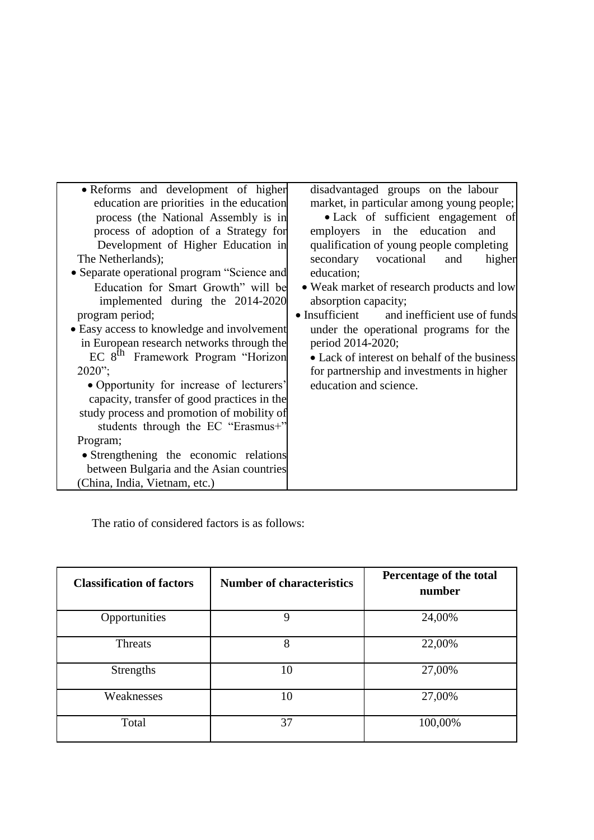| • Reforms and development of higher           | disadvantaged groups on the labour             |
|-----------------------------------------------|------------------------------------------------|
| education are priorities in the education     | market, in particular among young people;      |
| process (the National Assembly is in          | • Lack of sufficient engagement of             |
| process of adoption of a Strategy for         | employers in the education and                 |
| Development of Higher Education in            | qualification of young people completing       |
| The Netherlands);                             | vocational<br>secondary<br>higher<br>and       |
| • Separate operational program "Science and   | education;                                     |
| Education for Smart Growth" will be           | • Weak market of research products and low     |
| implemented during the 2014-2020              | absorption capacity;                           |
| program period;                               | • Insufficient<br>and inefficient use of funds |
| • Easy access to knowledge and involvement    | under the operational programs for the         |
| in European research networks through the     | period 2014-2020;                              |
| EC 8 <sup>th</sup> Framework Program "Horizon | • Lack of interest on behalf of the business   |
| $2020$ ";                                     | for partnership and investments in higher      |
| • Opportunity for increase of lecturers'      | education and science.                         |
| capacity, transfer of good practices in the   |                                                |
| study process and promotion of mobility of    |                                                |
| students through the EC "Erasmus+"            |                                                |
| Program;                                      |                                                |
| • Strengthening the economic relations        |                                                |
| between Bulgaria and the Asian countries      |                                                |
| (China, India, Vietnam, etc.)                 |                                                |

The ratio of considered factors is as follows:

| <b>Classification of factors</b> | <b>Number of characteristics</b> | Percentage of the total<br>number |
|----------------------------------|----------------------------------|-----------------------------------|
| Opportunities                    | 9                                | 24,00%                            |
| Threats                          | 8                                | 22,00%                            |
| <b>Strengths</b>                 | 10                               | 27,00%                            |
| Weaknesses                       | 10                               | 27,00%                            |
| Total                            | 37                               | 100,00%                           |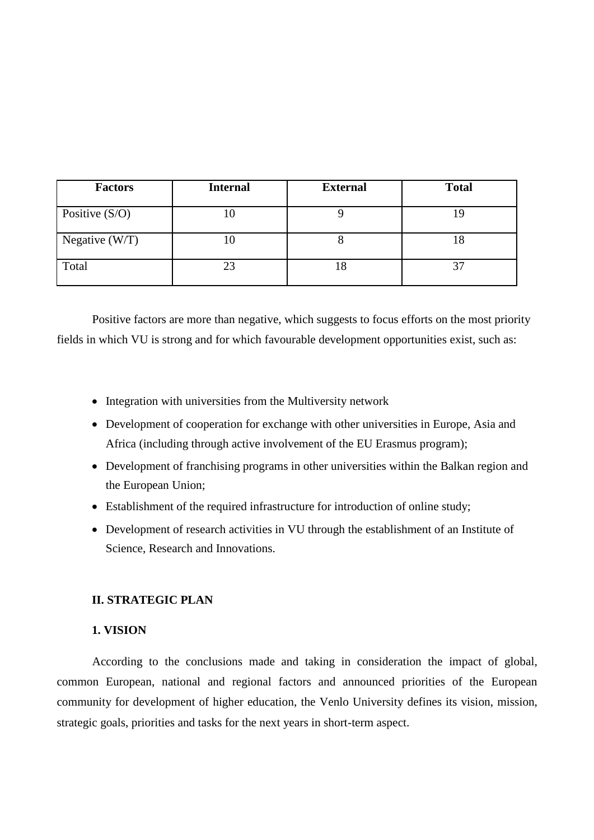| <b>Factors</b>   | <b>Internal</b> | <b>External</b> | <b>Total</b> |
|------------------|-----------------|-----------------|--------------|
| Positive $(S/O)$ |                 |                 |              |
| Negative $(W/T)$ | l C             |                 |              |
| Total            | 23              | 18              |              |

Positive factors are more than negative, which suggests to focus efforts on the most priority fields in which VU is strong and for which favourable development opportunities exist, such as:

- Integration with universities from the Multiversity network
- Development of cooperation for exchange with other universities in Europe, Asia and Africa (including through active involvement of the EU Erasmus program);
- Development of franchising programs in other universities within the Balkan region and the European Union;
- Establishment of the required infrastructure for introduction of online study;
- Development of research activities in VU through the establishment of an Institute of Science, Research and Innovations.

## **II. STRATEGIC PLAN**

## **1. VISION**

According to the conclusions made and taking in consideration the impact of global, common European, national and regional factors and announced priorities of the European community for development of higher education, the Venlo University defines its vision, mission, strategic goals, priorities and tasks for the next years in short-term aspect.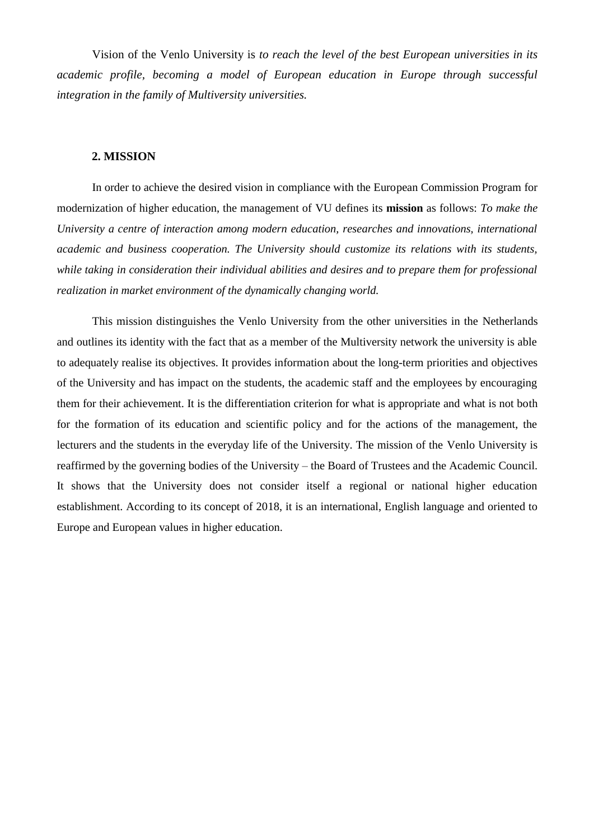Vision of the Venlo University is *to reach the level of the best European universities in its academic profile, becoming a model of European education in Europe through successful integration in the family of Multiversity universities.*

#### **2. MISSION**

In order to achieve the desired vision in compliance with the European Commission Program for modernization of higher education, the management of VU defines its **mission** as follows: *To make the University a centre of interaction among modern education, researches and innovations, international academic and business cooperation. The University should customize its relations with its students, while taking in consideration their individual abilities and desires and to prepare them for professional realization in market environment of the dynamically changing world.*

This mission distinguishes the Venlo University from the other universities in the Netherlands and outlines its identity with the fact that as a member of the Multiversity network the university is able to adequately realise its objectives. It provides information about the long-term priorities and objectives of the University and has impact on the students, the academic staff and the employees by encouraging them for their achievement. It is the differentiation criterion for what is appropriate and what is not both for the formation of its education and scientific policy and for the actions of the management, the lecturers and the students in the everyday life of the University. The mission of the Venlo University is reaffirmed by the governing bodies of the University – the Board of Trustees and the Academic Council. It shows that the University does not consider itself a regional or national higher education establishment. According to its concept of 2018, it is an international, English language and oriented to Europe and European values in higher education.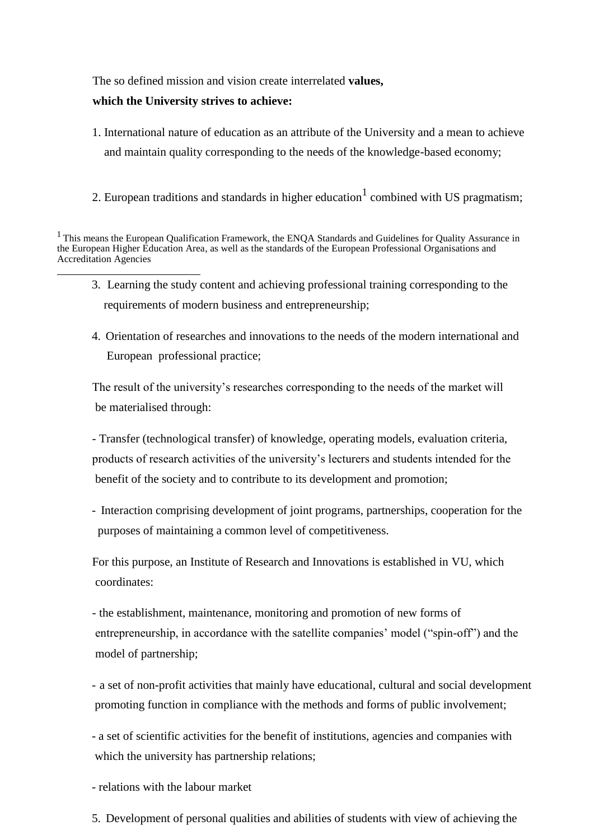The so defined mission and vision create interrelated **values,** 

## **which the University strives to achieve:**

- 1. International nature of education as an attribute of the University and a mean to achieve and maintain quality corresponding to the needs of the knowledge-based economy;
- 2. European traditions and standards in higher education<sup>1</sup> combined with US pragmatism;

- 3. Learning the study content and achieving professional training corresponding to the requirements of modern business and entrepreneurship;
- 4. Orientation of researches and innovations to the needs of the modern international and European professional practice;

The result of the university's researches corresponding to the needs of the market will be materialised through:

- Transfer (technological transfer) of knowledge, operating models, evaluation criteria, products of research activities of the university's lecturers and students intended for the benefit of the society and to contribute to its development and promotion;

- Interaction comprising development of joint programs, partnerships, cooperation for the purposes of maintaining a common level of competitiveness.

For this purpose, an Institute of Research and Innovations is established in VU, which coordinates:

- the establishment, maintenance, monitoring and promotion of new forms of entrepreneurship, in accordance with the satellite companies' model ("spin-off") and the model of partnership;

- a set of non-profit activities that mainly have educational, cultural and social development promoting function in compliance with the methods and forms of public involvement;

- a set of scientific activities for the benefit of institutions, agencies and companies with which the university has partnership relations;

- relations with the labour market

5. Development of personal qualities and abilities of students with view of achieving the

<sup>&</sup>lt;sup>1</sup> This means the European Qualification Framework, the ENQA Standards and Guidelines for Quality Assurance in the European Higher Education Area, as well as the standards of the European Professional Organisations and Accreditation Agencies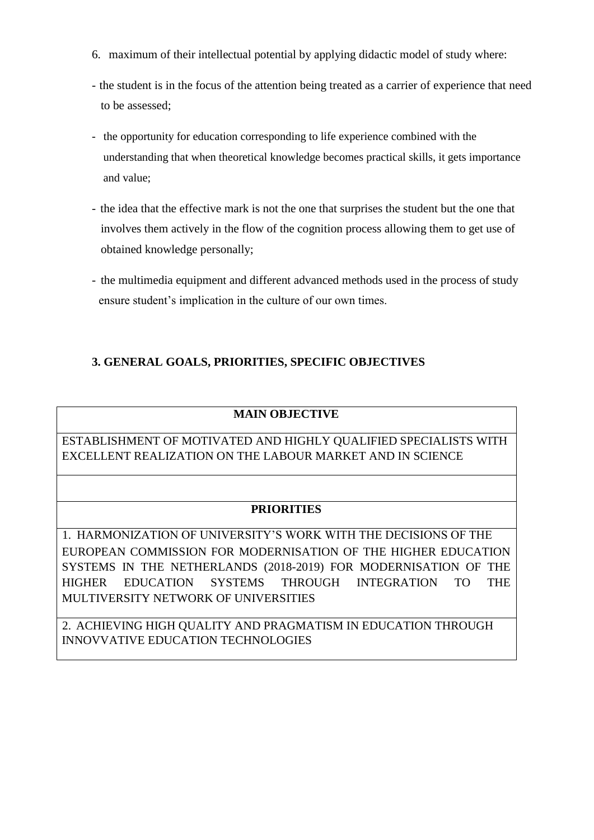- 6. maximum of their intellectual potential by applying didactic model of study where:
- the student is in the focus of the attention being treated as a carrier of experience that need to be assessed;
- the opportunity for education corresponding to life experience combined with the understanding that when theoretical knowledge becomes practical skills, it gets importance and value;
- the idea that the effective mark is not the one that surprises the student but the one that involves them actively in the flow of the cognition process allowing them to get use of obtained knowledge personally;
- the multimedia equipment and different advanced methods used in the process of study ensure student's implication in the culture of our own times.

## **3. GENERAL GOALS, PRIORITIES, SPECIFIC OBJECTIVES**

## **MAIN OBJECTIVE**

ESTABLISHMENT OF MOTIVATED AND HIGHLY QUALIFIED SPECIALISTS WITH EXCELLENT REALIZATION ON THE LABOUR MARKET AND IN SCIENCE

## **PRIORITIES**

1. HARMONIZATION OF UNIVERSITY'S WORK WITH THE DECISIONS OF THE EUROPEAN COMMISSION FOR MODERNISATION OF THE HIGHER EDUCATION SYSTEMS IN THE NETHERLANDS (2018-2019) FOR MODERNISATION OF THE HIGHER EDUCATION SYSTEMS THROUGH INTEGRATION TO THE MULTIVERSITY NETWORK OF UNIVERSITIES

2. ACHIEVING HIGH QUALITY AND PRAGMATISM IN EDUCATION THROUGH INNOVVATIVE EDUCATION TECHNOLOGIES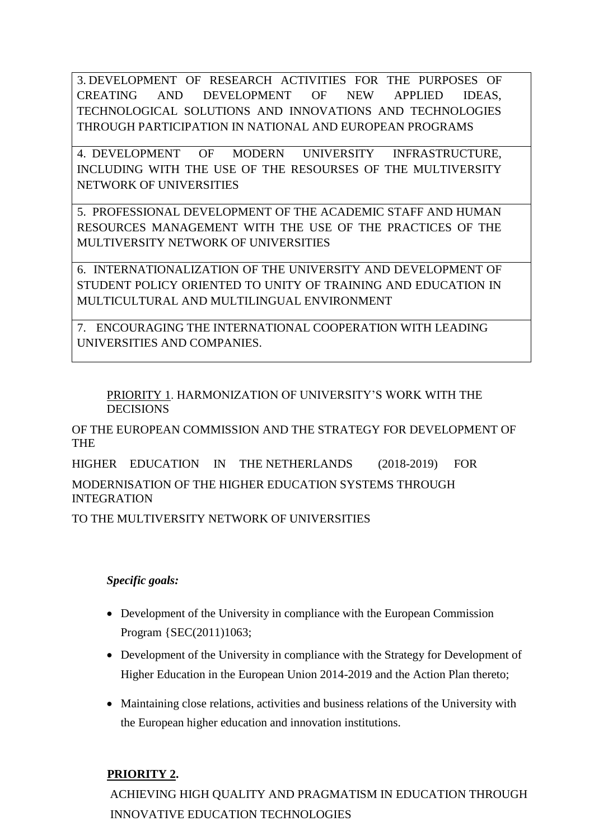3. DEVELOPMENT OF RESEARCH ACTIVITIES FOR THE PURPOSES OF CREATING AND DEVELOPMENT OF NEW APPLIED IDEAS, TECHNOLOGICAL SOLUTIONS AND INNOVATIONS AND TECHNOLOGIES THROUGH PARTICIPATION IN NATIONAL AND EUROPEAN PROGRAMS

4. DEVELOPMENT OF MODERN UNIVERSITY INFRASTRUCTURE, INCLUDING WITH THE USE OF THE RESOURSES OF THE MULTIVERSITY NETWORK OF UNIVERSITIES

5. PROFESSIONAL DEVELOPMENT OF THE ACADEMIC STAFF AND HUMAN RESOURCES MANAGEMENT WITH THE USE OF THE PRACTICES OF THE MULTIVERSITY NETWORK OF UNIVERSITIES

6. INTERNATIONALIZATION OF THE UNIVERSITY AND DEVELOPMENT OF STUDENT POLICY ORIENTED TO UNITY OF TRAINING AND EDUCATION IN MULTICULTURAL AND MULTILINGUAL ENVIRONMENT

7. ENCOURAGING THE INTERNATIONAL COOPERATION WITH LEADING UNIVERSITIES AND COMPANIES.

PRIORITY 1. HARMONIZATION OF UNIVERSITY'S WORK WITH THE DECISIONS

OF THE EUROPEAN COMMISSION AND THE STRATEGY FOR DEVELOPMENT OF THE

HIGHER EDUCATION IN THE NETHERLANDS (2018-2019) FOR

MODERNISATION OF THE HIGHER EDUCATION SYSTEMS THROUGH INTEGRATION

TO THE MULTIVERSITY NETWORK OF UNIVERSITIES

## *Specific goals:*

- Development of the University in compliance with the European Commission Program {SEC(2011)1063;
- Development of the University in compliance with the Strategy for Development of Higher Education in the European Union 2014-2019 and the Action Plan thereto;
- Maintaining close relations, activities and business relations of the University with the European higher education and innovation institutions.

## **PRIORITY 2.**

ACHIEVING HIGH QUALITY AND PRAGMATISM IN EDUCATION THROUGH INNOVATIVE EDUCATION TECHNOLOGIES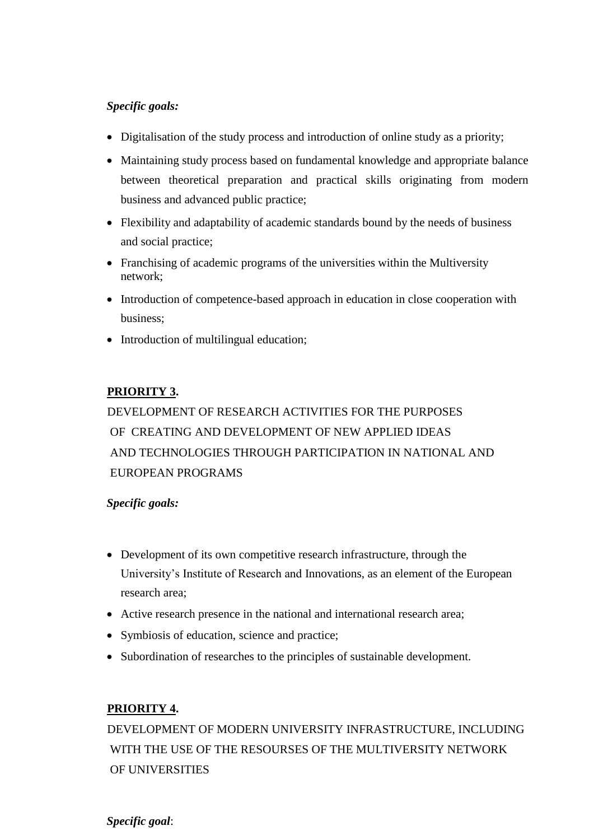## *Specific goals:*

- Digitalisation of the study process and introduction of online study as a priority;
- Maintaining study process based on fundamental knowledge and appropriate balance between theoretical preparation and practical skills originating from modern business and advanced public practice;
- Flexibility and adaptability of academic standards bound by the needs of business and social practice;
- Franchising of academic programs of the universities within the Multiversity network;
- Introduction of competence-based approach in education in close cooperation with business;
- Introduction of multilingual education;

## **PRIORITY 3.**

# DEVELOPMENT OF RESEARCH ACTIVITIES FOR THE PURPOSES OF CREATING AND DEVELOPMENT OF NEW APPLIED IDEAS AND TECHNOLOGIES THROUGH PARTICIPATION IN NATIONAL AND EUROPEAN PROGRAMS

## *Specific goals:*

- Development of its own competitive research infrastructure, through the University's Institute of Research and Innovations, as an element of the European research area;
- Active research presence in the national and international research area;
- Symbiosis of education, science and practice;
- Subordination of researches to the principles of sustainable development.

## **PRIORITY 4.**

DEVELOPMENT OF MODERN UNIVERSITY INFRASTRUCTURE, INCLUDING WITH THE USE OF THE RESOURSES OF THE MULTIVERSITY NETWORK OF UNIVERSITIES

*Specific goal*: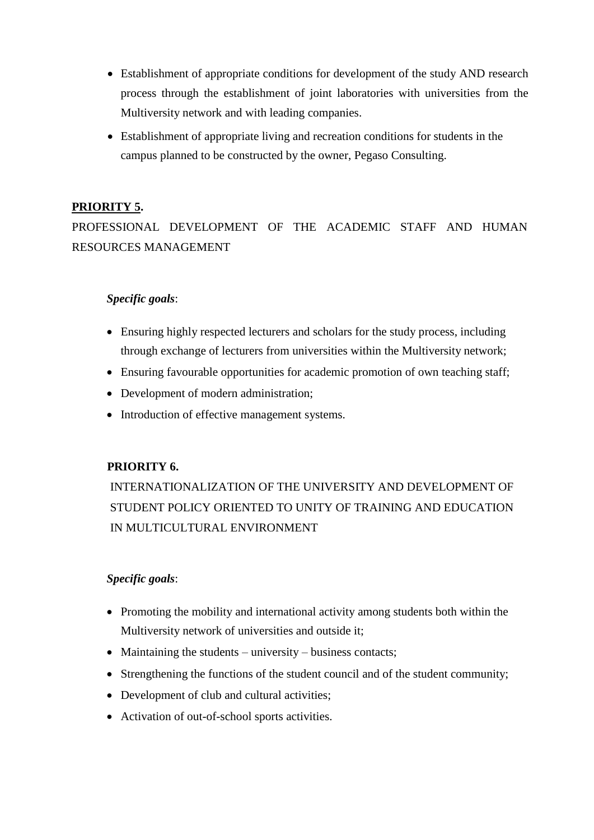- Establishment of appropriate conditions for development of the study AND research process through the establishment of joint laboratories with universities from the Multiversity network and with leading companies.
- Establishment of appropriate living and recreation conditions for students in the campus planned to be constructed by the owner, Pegaso Consulting.

## **PRIORITY 5.**

PROFESSIONAL DEVELOPMENT OF THE ACADEMIC STAFF AND HUMAN RESOURCES MANAGEMENT

## *Specific goals*:

- Ensuring highly respected lecturers and scholars for the study process, including through exchange of lecturers from universities within the Multiversity network;
- Ensuring favourable opportunities for academic promotion of own teaching staff;
- Development of modern administration;
- Introduction of effective management systems.

## **PRIORITY 6.**

INTERNATIONALIZATION OF THE UNIVERSITY AND DEVELOPMENT OF STUDENT POLICY ORIENTED TO UNITY OF TRAINING AND EDUCATION IN MULTICULTURAL ENVIRONMENT

## *Specific goals*:

- Promoting the mobility and international activity among students both within the Multiversity network of universities and outside it;
- Maintaining the students university business contacts;
- Strengthening the functions of the student council and of the student community;
- Development of club and cultural activities;
- Activation of out-of-school sports activities.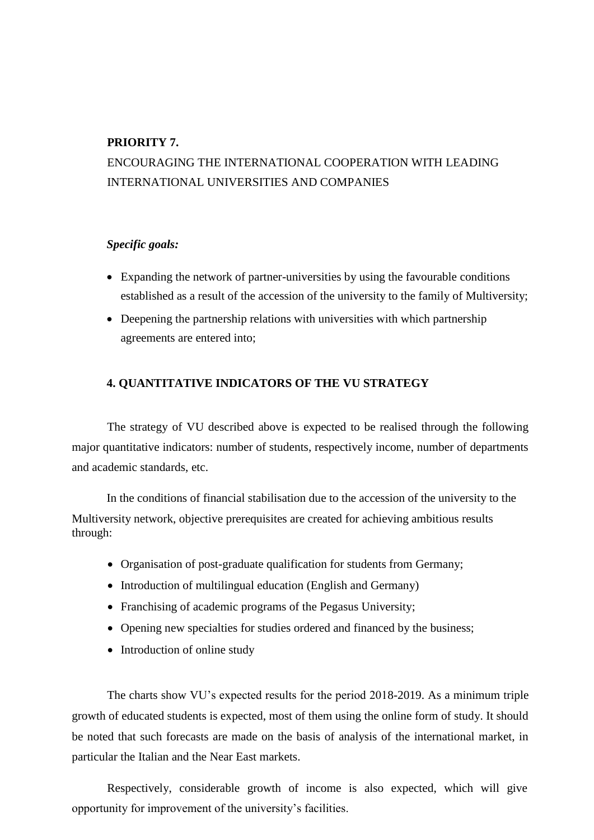## **PRIORITY 7.**

## ENCOURAGING THE INTERNATIONAL COOPERATION WITH LEADING INTERNATIONAL UNIVERSITIES AND COMPANIES

## *Specific goals:*

- Expanding the network of partner-universities by using the favourable conditions established as a result of the accession of the university to the family of Multiversity;
- Deepening the partnership relations with universities with which partnership agreements are entered into;

## **4. QUANTITATIVE INDICATORS OF THE VU STRATEGY**

The strategy of VU described above is expected to be realised through the following major quantitative indicators: number of students, respectively income, number of departments and academic standards, etc.

In the conditions of financial stabilisation due to the accession of the university to the Multiversity network, objective prerequisites are created for achieving ambitious results through:

- Organisation of post-graduate qualification for students from Germany;
- Introduction of multilingual education (English and Germany)
- Franchising of academic programs of the Pegasus University;
- Opening new specialties for studies ordered and financed by the business;
- Introduction of online study

The charts show VU's expected results for the period 2018-2019. As a minimum triple growth of educated students is expected, most of them using the online form of study. It should be noted that such forecasts are made on the basis of analysis of the international market, in particular the Italian and the Near East markets.

Respectively, considerable growth of income is also expected, which will give opportunity for improvement of the university's facilities.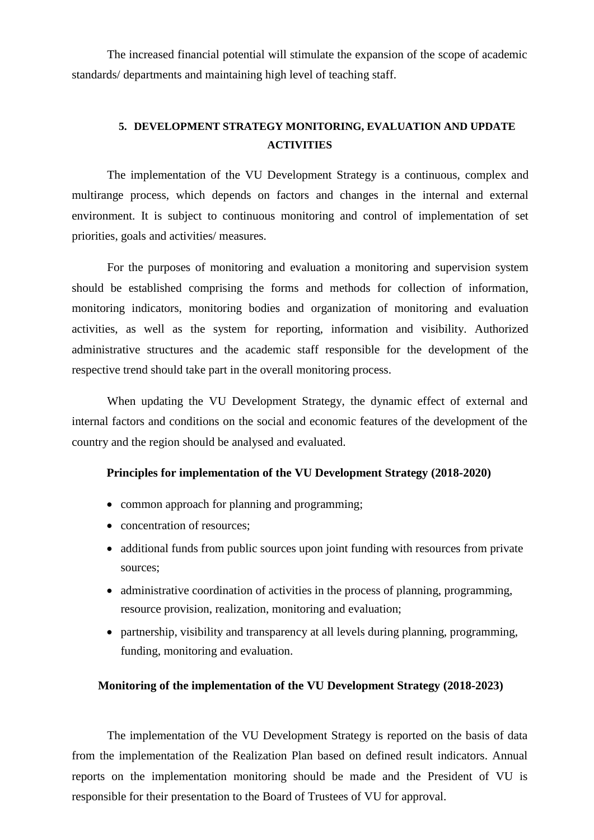The increased financial potential will stimulate the expansion of the scope of academic standards/ departments and maintaining high level of teaching staff.

## **5. DEVELOPMENT STRATEGY MONITORING, EVALUATION AND UPDATE ACTIVITIES**

The implementation of the VU Development Strategy is a continuous, complex and multirange process, which depends on factors and changes in the internal and external environment. It is subject to continuous monitoring and control of implementation of set priorities, goals and activities/ measures.

For the purposes of monitoring and evaluation a monitoring and supervision system should be established comprising the forms and methods for collection of information, monitoring indicators, monitoring bodies and organization of monitoring and evaluation activities, as well as the system for reporting, information and visibility. Authorized administrative structures and the academic staff responsible for the development of the respective trend should take part in the overall monitoring process.

When updating the VU Development Strategy, the dynamic effect of external and internal factors and conditions on the social and economic features of the development of the country and the region should be analysed and evaluated.

## **Principles for implementation of the VU Development Strategy (2018-2020)**

- common approach for planning and programming;
- concentration of resources;
- additional funds from public sources upon joint funding with resources from private sources;
- administrative coordination of activities in the process of planning, programming, resource provision, realization, monitoring and evaluation;
- partnership, visibility and transparency at all levels during planning, programming, funding, monitoring and evaluation.

## **Monitoring of the implementation of the VU Development Strategy (2018-2023)**

The implementation of the VU Development Strategy is reported on the basis of data from the implementation of the Realization Plan based on defined result indicators. Annual reports on the implementation monitoring should be made and the President of VU is responsible for their presentation to the Board of Trustees of VU for approval.